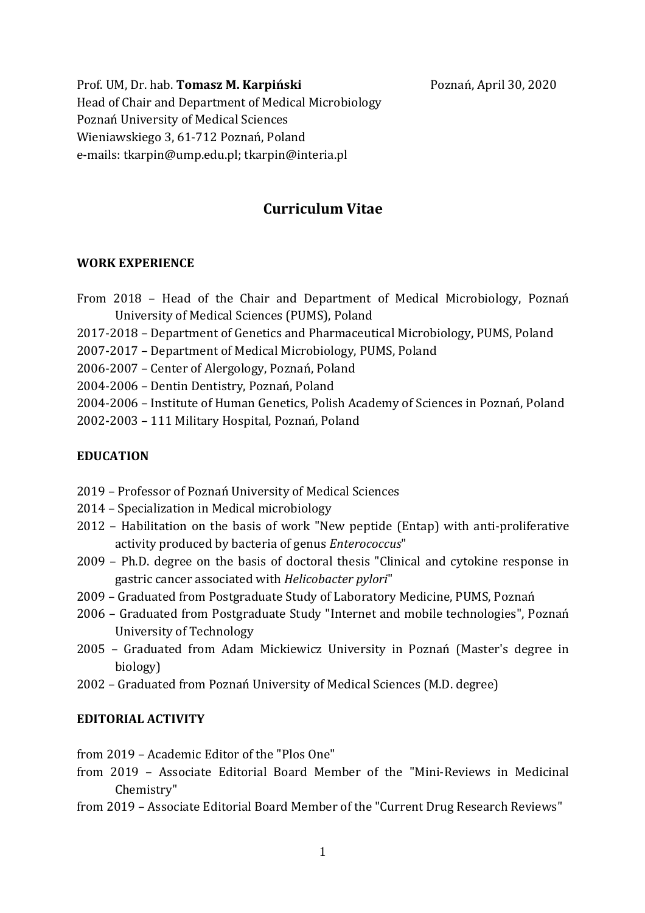Prof. UM, Dr. hab. **Tomasz M. Karpiński** Poznań, April 30, 2020 Head of Chair and Department of Medical Microbiology Poznań University of Medical Sciences Wieniawskiego 3, 61-712 Poznań, Poland e-mails: tkarpin@ump.edu.pl; tkarpin@interia.pl

# **Curriculum Vitae**

#### **WORK EXPERIENCE**

- From 2018 Head of the Chair and Department of Medical Microbiology, Poznań University of Medical Sciences (PUMS), Poland
- 2017-2018 Department of Genetics and Pharmaceutical Microbiology, PUMS, Poland
- 2007-2017 Department of Medical Microbiology, PUMS, Poland
- 2006-2007 Center of Alergology, Poznań, Poland
- 2004-2006 Dentin Dentistry, Poznań, Poland
- 2004-2006 Institute of Human Genetics, Polish Academy of Sciences in Poznań, Poland
- 2002-2003 111 Military Hospital, Poznań, Poland

# **EDUCATION**

- 2019 Professor of Poznań University of Medical Sciences
- 2014 Specialization in Medical microbiology
- 2012 Habilitation on the basis of work "New peptide (Entap) with anti-proliferative activity produced by bacteria of genus *Enterococcus*"
- 2009 Ph.D. degree on the basis of doctoral thesis "Clinical and cytokine response in gastric cancer associated with *Helicobacter pylori*"
- 2009 Graduated from Postgraduate Study of Laboratory Medicine, PUMS, Poznań
- 2006 Graduated from Postgraduate Study "Internet and mobile technologies", Poznań University of Technology
- 2005 Graduated from Adam Mickiewicz University in Poznań (Master's degree in biology)
- 2002 Graduated from Poznań University of Medical Sciences (M.D. degree)

# **EDITORIAL ACTIVITY**

from 2019 – Academic Editor of the "Plos One"

- from 2019 Associate Editorial Board Member of the "Mini-Reviews in Medicinal Chemistry"
- from 2019 Associate Editorial Board Member of the "Current Drug Research Reviews"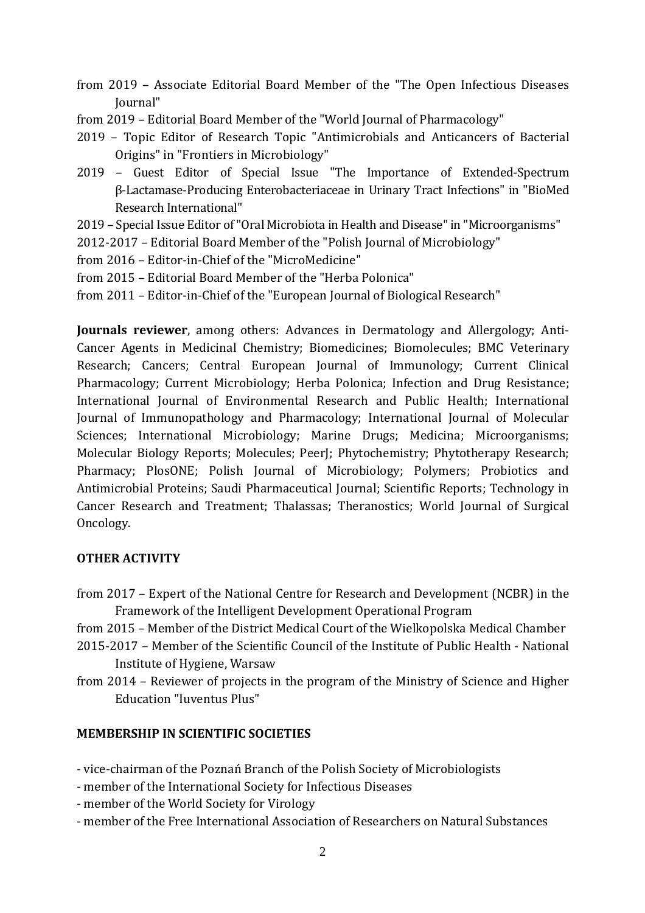- from 2019 Associate Editorial Board Member of the "The Open Infectious Diseases Journal"
- from 2019 Editorial Board Member of the "World Journal of Pharmacology"
- 2019 Topic Editor of Research Topic "Antimicrobials and Anticancers of Bacterial Origins" in "Frontiers in Microbiology"
- 2019 Guest Editor of Special Issue "The Importance of Extended-Spectrum β-Lactamase-Producing Enterobacteriaceae in Urinary Tract Infections" in "BioMed Research International"
- 2019 Special Issue Editor of "Oral Microbiota in Health and Disease" in "Microorganisms"
- 2012-2017 Editorial Board Member of the "Polish Journal of Microbiology"
- from 2016 Editor-in-Chief of the "MicroMedicine"
- from 2015 Editorial Board Member of the "Herba Polonica"
- from 2011 Editor-in-Chief of the "European Journal of Biological Research"

**Journals reviewer**, among others: Advances in Dermatology and Allergology; Anti-Cancer Agents in Medicinal Chemistry; Biomedicines; Biomolecules; BMC Veterinary Research; Cancers; Central European Journal of Immunology; Current Clinical Pharmacology; Current Microbiology; Herba Polonica; Infection and Drug Resistance; International Journal of Environmental Research and Public Health; International Journal of Immunopathology and Pharmacology; International Journal of Molecular Sciences; International Microbiology; Marine Drugs; Medicina; Microorganisms; Molecular Biology Reports; Molecules; PeerJ; Phytochemistry; Phytotherapy Research; Pharmacy; PlosONE; Polish Journal of Microbiology; Polymers; Probiotics and Antimicrobial Proteins; Saudi Pharmaceutical Journal; Scientific Reports; Technology in Cancer Research and Treatment; Thalassas; Theranostics; World Journal of Surgical Oncology.

# **OTHER ACTIVITY**

- from 2017 Expert of the National Centre for Research and Development (NCBR) in the Framework of the Intelligent Development Operational Program
- from 2015 Member of the District Medical Court of the Wielkopolska Medical Chamber
- 2015-2017 Member of the Scientific Council of the Institute of Public Health National Institute of Hygiene, Warsaw
- from 2014 Reviewer of projects in the program of the Ministry of Science and Higher Education "Iuventus Plus"

# **MEMBERSHIP IN SCIENTIFIC SOCIETIES**

- vice-chairman of the Poznań Branch of the Polish Society of Microbiologists

- member of the International Society for Infectious Diseases
- member of the World Society for Virology
- member of the Free International Association of Researchers on Natural Substances